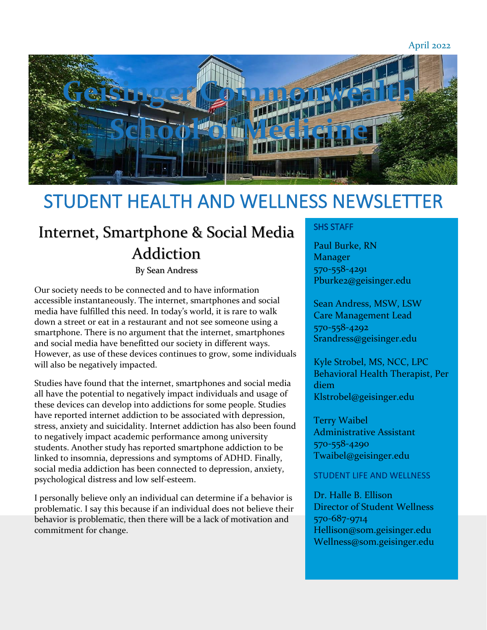April 2022



# STUDENT HEALTH AND WELLNESS NEWSLETTER

## Internet, Smartphone & Social Media Addiction

By Sean Andress

Our society needs to be connected and to have information accessible instantaneously. The internet, smartphones and social media have fulfilled this need. In today's world, it is rare to walk down a street or eat in a restaurant and not see someone using a smartphone. There is no argument that the internet, smartphones and social media have benefitted our society in different ways. However, as use of these devices continues to grow, some individuals will also be negatively impacted.

Studies have found that the internet, smartphones and social media all have the potential to negatively impact individuals and usage of these devices can develop into addictions for some people. Studies have reported internet addiction to be associated with depression, stress, anxiety and suicidality. Internet addiction has also been found to negatively impact academic performance among university students. Another study has reported smartphone addiction to be linked to insomnia, depressions and symptoms of ADHD. Finally, social media addiction has been connected to depression, anxiety, psychological distress and low self-esteem.

I personally believe only an individual can determine if a behavior is problematic. I say this because if an individual does not believe their behavior is problematic, then there will be a lack of motivation and commitment for change.

## SHS STAFF

Paul Burke, RN Manager 570-558-4291 Pburke2@geisinger.edu

Sean Andress, MSW, LSW Care Management Lead 570-558-4292 Srandress@geisinger.edu

Kyle Strobel, MS, NCC, LPC Behavioral Health Therapist, Per diem Klstrobel@geisinger.edu

Terry Waibel Administrative Assistant 570-558-4290 Twaibel@geisinger.edu

## STUDENT LIFE AND WELLNESS

Dr. Halle B. Ellison Director of Student Wellness 570-687-9714 Hellison@som.geisinger.edu Wellness@som.geisinger.edu